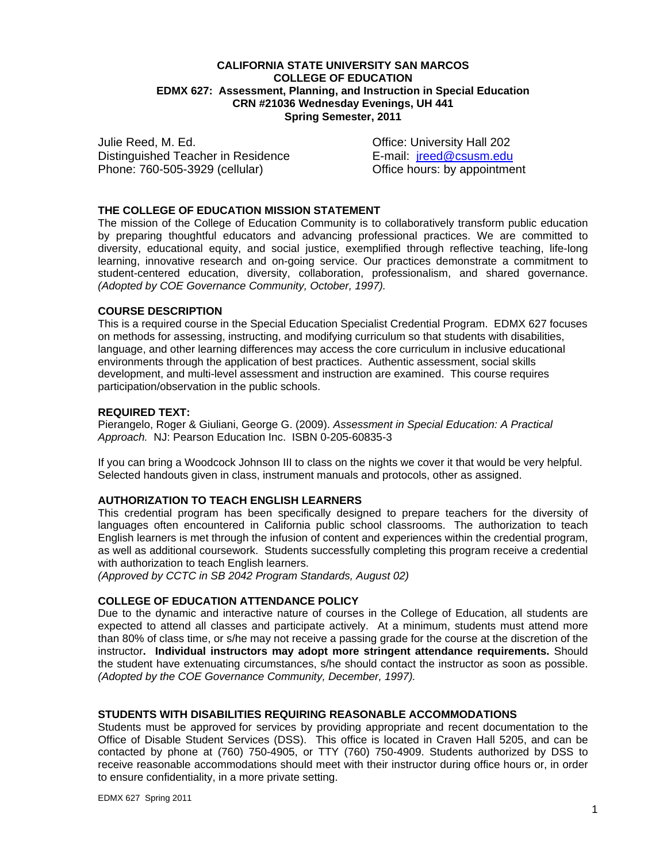## **CALIFORNIA STATE UNIVERSITY SAN MARCOS COLLEGE OF EDUCATION EDMX 627: Assessment, Planning, and Instruction in Special Education CRN #21036 Wednesday Evenings, UH 441 Spring Semester, 2011**

Distinguished Teacher in Residence **E-mail:** jreed@csusm.edu Julie Reed, M. Ed. Communication of the Communication Office: University Hall 202 Phone: 760-505-3929 (cellular) Office hours: by appointment

## **THE COLLEGE OF EDUCATION MISSION STATEMENT**

The mission of the College of Education Community is to collaboratively transform public education by preparing thoughtful educators and advancing professional practices. We are committed to diversity, educational equity, and social justice, exemplified through reflective teaching, life-long learning, innovative research and on-going service. Our practices demonstrate a commitment to student-centered education, diversity, collaboration, professionalism, and shared governance. *(Adopted by COE Governance Community, October, 1997).* 

#### **COURSE DESCRIPTION**

This is a required course in the Special Education Specialist Credential Program. EDMX 627 focuses on methods for assessing, instructing, and modifying curriculum so that students with disabilities, language, and other learning differences may access the core curriculum in inclusive educational environments through the application of best practices. Authentic assessment, social skills development, and multi-level assessment and instruction are examined. This course requires participation/observation in the public schools.

#### **REQUIRED TEXT:**

Pierangelo, Roger & Giuliani, George G. (2009). *Assessment in Special Education: A Practical Approach.* NJ: Pearson Education Inc. ISBN 0-205-60835-3

If you can bring a Woodcock Johnson III to class on the nights we cover it that would be very helpful. Selected handouts given in class, instrument manuals and protocols, other as assigned.

## **AUTHORIZATION TO TEACH ENGLISH LEARNERS**

This credential program has been specifically designed to prepare teachers for the diversity of languages often encountered in California public school classrooms. The authorization to teach English learners is met through the infusion of content and experiences within the credential program, as well as additional coursework. Students successfully completing this program receive a credential with authorization to teach English learners.

*(Approved by CCTC in SB 2042 Program Standards, August 02)* 

## **COLLEGE OF EDUCATION ATTENDANCE POLICY**

 *(Adopted by the COE Governance Community, December, 1997).* Due to the dynamic and interactive nature of courses in the College of Education, all students are expected to attend all classes and participate actively. At a minimum, students must attend more than 80% of class time, or s/he may not receive a passing grade for the course at the discretion of the instructor**. Individual instructors may adopt more stringent attendance requirements.** Should the student have extenuating circumstances, s/he should contact the instructor as soon as possible.

## **STUDENTS WITH DISABILITIES REQUIRING REASONABLE ACCOMMODATIONS**

Students must be approved for services by providing appropriate and recent documentation to the Office of Disable Student Services (DSS). This office is located in Craven Hall 5205, and can be contacted by phone at (760) 750-4905, or TTY (760) 750-4909. Students authorized by DSS to receive reasonable accommodations should meet with their instructor during office hours or, in order to ensure confidentiality, in a more private setting.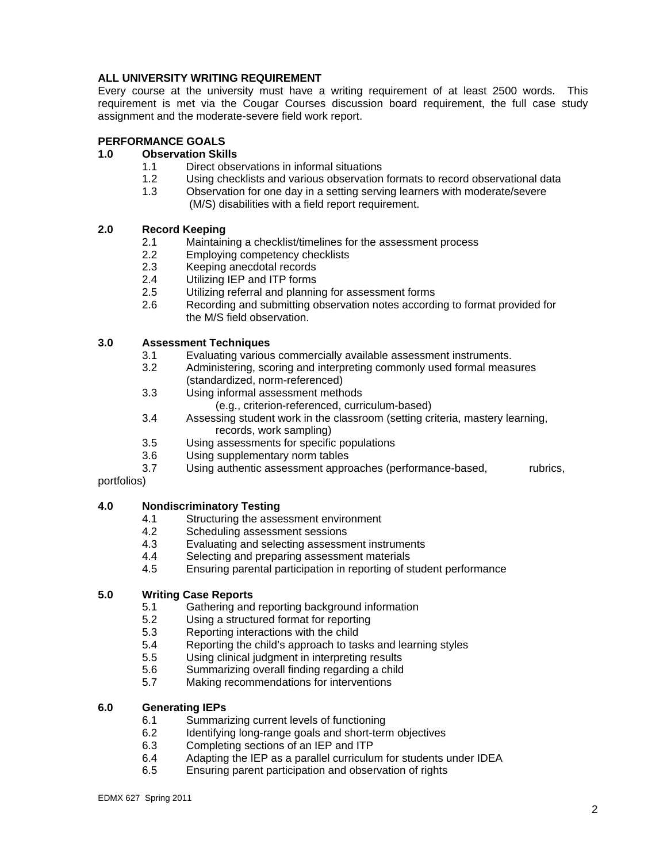## **ALL UNIVERSITY WRITING REQUIREMENT**

Every course at the university must have a writing requirement of at least 2500 words. This requirement is met via the Cougar Courses discussion board requirement, the full case study assignment and the moderate-severe field work report.

## **PERFORMANCE GOALS**

# **1.0 Observation Skills**<br>**1.1** Direct obse

- Direct observations in informal situations
- 1.2 Using checklists and various observation formats to record observational data<br>1.3 Observation for one dav in a setting serving learners with moderate/severe
- Observation for one day in a setting serving learners with moderate/severe (M/S) disabilities with a field report requirement.

## **2.0 Record Keeping**

- 2.1 Maintaining a checklist/timelines for the assessment process
- 2.2 Employing competency checklists
- 2.3 Keeping anecdotal records
- 2.4 Utilizing IEP and ITP forms
- 2.5 Utilizing referral and planning for assessment forms
- 2.6 Recording and submitting observation notes according to format provided for the M/S field observation.

## **3.0 Assessment Techniques**

- 3.1 Evaluating various commercially available assessment instruments.
- 3.2 Administering, scoring and interpreting commonly used formal measures (standardized, norm-referenced)
- 3.3 Using informal assessment methods
	- (e.g., criterion-referenced, curriculum-based)
- 3.4 Assessing student work in the classroom (setting criteria, mastery learning, records, work sampling)
- 3.5 Using assessments for specific populations
- 3.6 Using supplementary norm tables
- 3.7 Using authentic assessment approaches (performance-based, rubrics,

## portfolios)

## **4.0 Nondiscriminatory Testing**

- 4.1 Structuring the assessment environment
- 4.2 Scheduling assessment sessions
- 4.3 Evaluating and selecting assessment instruments
- 4.4 Selecting and preparing assessment materials
- 4.5 Ensuring parental participation in reporting of student performance

## **5.0 Writing Case Reports**

- 5.1 Gathering and reporting background information
- 5.2 Using a structured format for reporting<br>5.3 Reporting interactions with the child
- 5.3 Reporting interactions with the child
- 5.4 Reporting the child's approach to tasks and learning styles
- 5.5 Using clinical judgment in interpreting results
- 5.6 Summarizing overall finding regarding a child
- 5.7 Making recommendations for interventions

## **6.0 Generating IEPs**

- 6.1 Summarizing current levels of functioning
- 6.2 Identifying long-range goals and short-term objectives
- 6.3 Completing sections of an IEP and ITP
- 6.4 Adapting the IEP as a parallel curriculum for students under IDEA
- 6.5 Ensuring parent participation and observation of rights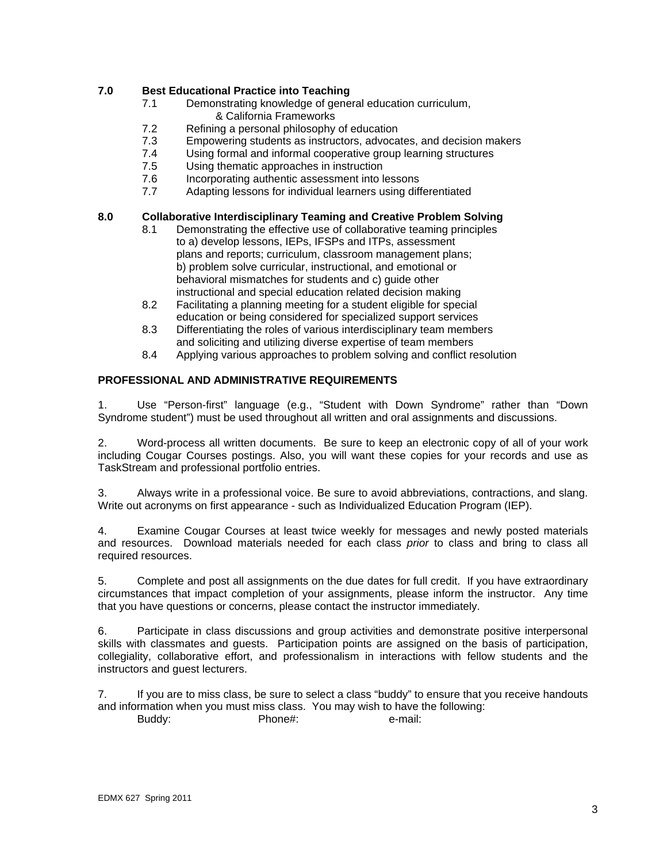## **7.0 Best Educational Practice into Teaching**

- 7.1 Demonstrating knowledge of general education curriculum, & California Frameworks
- 7.2 Refining a personal philosophy of education
- 7.3 Empowering students as instructors, advocates, and decision makers
- 7.4 Using formal and informal cooperative group learning structures
- 7.5 Using thematic approaches in instruction
- 7.6 Incorporating authentic assessment into lessons<br>7.7 Adapting lessons for individual learners using diff
- Adapting lessons for individual learners using differentiated

## **8.0 Collaborative Interdisciplinary Teaming and Creative Problem Solving**

- 8.1 Demonstrating the effective use of collaborative teaming principles to a) develop lessons, IEPs, IFSPs and ITPs, assessment plans and reports; curriculum, classroom management plans; b) problem solve curricular, instructional, and emotional or behavioral mismatches for students and c) guide other instructional and special education related decision making
- 8.2 Facilitating a planning meeting for a student eligible for special education or being considered for specialized support services
- 8.3 Differentiating the roles of various interdisciplinary team members and soliciting and utilizing diverse expertise of team members
- 8.4 Applying various approaches to problem solving and conflict resolution

## **PROFESSIONAL AND ADMINISTRATIVE REQUIREMENTS**

1. Use "Person-first" language (e.g., "Student with Down Syndrome" rather than "Down Syndrome student") must be used throughout all written and oral assignments and discussions.

2. Word-process all written documents. Be sure to keep an electronic copy of all of your work including Cougar Courses postings. Also, you will want these copies for your records and use as TaskStream and professional portfolio entries.

3. Always write in a professional voice. Be sure to avoid abbreviations, contractions, and slang. Write out acronyms on first appearance - such as Individualized Education Program (IEP).

4. Examine Cougar Courses at least twice weekly for messages and newly posted materials and resources. Download materials needed for each class *prior* to class and bring to class all required resources.

5. Complete and post all assignments on the due dates for full credit. If you have extraordinary circumstances that impact completion of your assignments, please inform the instructor. Any time that you have questions or concerns, please contact the instructor immediately.

6. Participate in class discussions and group activities and demonstrate positive interpersonal skills with classmates and guests. Participation points are assigned on the basis of participation, collegiality, collaborative effort, and professionalism in interactions with fellow students and the instructors and guest lecturers.

7. If you are to miss class, be sure to select a class "buddy" to ensure that you receive handouts and information when you must miss class. You may wish to have the following: Buddy: Phone#: e-mail: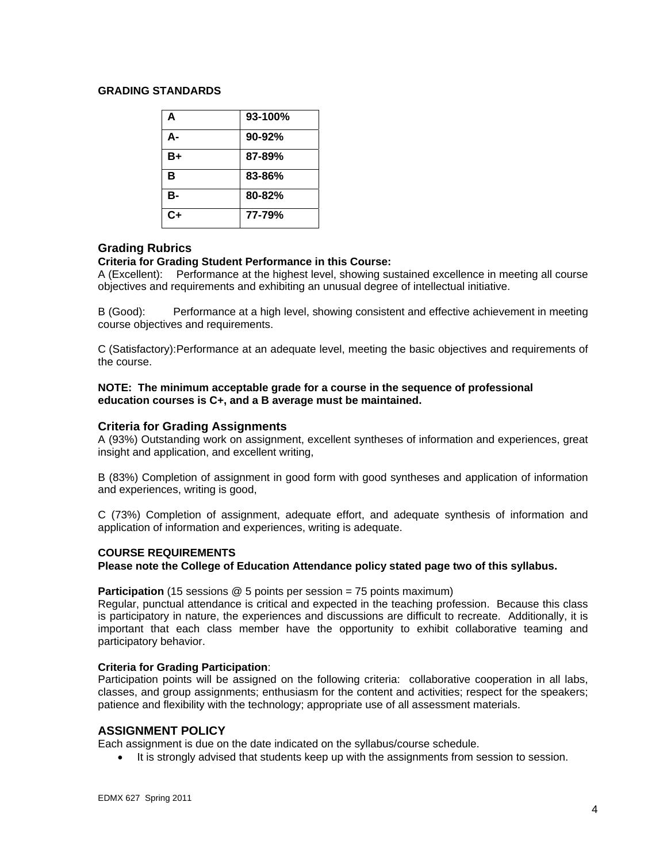## **GRADING STANDARDS**

| A         | 93-100% |
|-----------|---------|
| А-        | 90-92%  |
| B+        | 87-89%  |
| B         | 83-86%  |
| <b>B-</b> | 80-82%  |
| $C+$      | 77-79%  |

## **Grading Rubrics**

## **Criteria for Grading Student Performance in this Course:**

A (Excellent): Performance at the highest level, showing sustained excellence in meeting all course objectives and requirements and exhibiting an unusual degree of intellectual initiative.

B (Good): Performance at a high level, showing consistent and effective achievement in meeting course objectives and requirements.

C (Satisfactory): Performance at an adequate level, meeting the basic objectives and requirements of the course.

#### **NOTE: The minimum acceptable grade for a course in the sequence of professional education courses is C+, and a B average must be maintained.**

## **Criteria for Grading Assignments**

A (93%) Outstanding work on assignment, excellent syntheses of information and experiences, great insight and application, and excellent writing,

B (83%) Completion of assignment in good form with good syntheses and application of information and experiences, writing is good,

C (73%) Completion of assignment, adequate effort, and adequate synthesis of information and application of information and experiences, writing is adequate.

## **COURSE REQUIREMENTS**

**Please note the College of Education Attendance policy stated page two of this syllabus.** 

**Participation** (15 sessions @ 5 points per session = 75 points maximum)

Regular, punctual attendance is critical and expected in the teaching profession. Because this class is participatory in nature, the experiences and discussions are difficult to recreate. Additionally, it is important that each class member have the opportunity to exhibit collaborative teaming and participatory behavior.

## **Criteria for Grading Participation**:

Participation points will be assigned on the following criteria: collaborative cooperation in all labs, classes, and group assignments; enthusiasm for the content and activities; respect for the speakers; patience and flexibility with the technology; appropriate use of all assessment materials.

## **ASSIGNMENT POLICY**

Each assignment is due on the date indicated on the syllabus/course schedule.

It is strongly advised that students keep up with the assignments from session to session.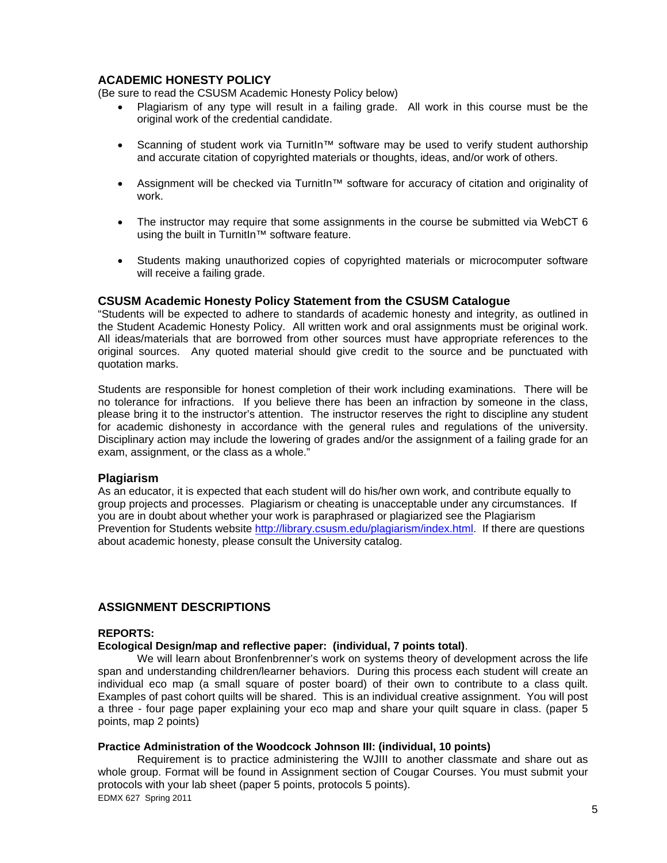## **ACADEMIC HONESTY POLICY**

(Be sure to read the CSUSM Academic Honesty Policy below)

- Plagiarism of any type will result in a failing grade. All work in this course must be the original work of the credential candidate.
- Scanning of student work via TurnitIn<sup>™</sup> software may be used to verify student authorship and accurate citation of copyrighted materials or thoughts, ideas, and/or work of others.
- Assignment will be checked via TurnitIn™ software for accuracy of citation and originality of work.
- The instructor may require that some assignments in the course be submitted via WebCT 6 using the built in TurnitIn™ software feature.
- Students making unauthorized copies of copyrighted materials or microcomputer software will receive a failing grade.

## **CSUSM Academic Honesty Policy Statement from the CSUSM Catalogue**

"Students will be expected to adhere to standards of academic honesty and integrity, as outlined in the Student Academic Honesty Policy. All written work and oral assignments must be original work. All ideas/materials that are borrowed from other sources must have appropriate references to the original sources. Any quoted material should give credit to the source and be punctuated with quotation marks.

Students are responsible for honest completion of their work including examinations. There will be no tolerance for infractions. If you believe there has been an infraction by someone in the class, please bring it to the instructor's attention. The instructor reserves the right to discipline any student for academic dishonesty in accordance with the general rules and regulations of the university. Disciplinary action may include the lowering of grades and/or the assignment of a failing grade for an exam, assignment, or the class as a whole."

## **Plagiarism**

As an educator, it is expected that each student will do his/her own work, and contribute equally to group projects and processes. Plagiarism or cheating is unacceptable under any circumstances. If you are in doubt about whether your work is paraphrased or plagiarized see the Plagiarism Prevention for Students website http://library.csusm.edu/plagiarism/index.html. If there are questions about academic honesty, please consult the University catalog.

## **ASSIGNMENT DESCRIPTIONS**

## **REPORTS:**

## **Ecological Design/map and reflective paper: (individual, 7 points total)**.

We will learn about Bronfenbrenner's work on systems theory of development across the life span and understanding children/learner behaviors. During this process each student will create an individual eco map (a small square of poster board) of their own to contribute to a class quilt. Examples of past cohort quilts will be shared. This is an individual creative assignment. You will post a three - four page paper explaining your eco map and share your quilt square in class. (paper 5 points, map 2 points)

## **Practice Administration of the Woodcock Johnson III: (individual, 10 points)**

Requirement is to practice administering the WJIII to another classmate and share out as whole group. Format will be found in Assignment section of Cougar Courses. You must submit your protocols with your lab sheet (paper 5 points, protocols 5 points). EDMX 627 Spring 2011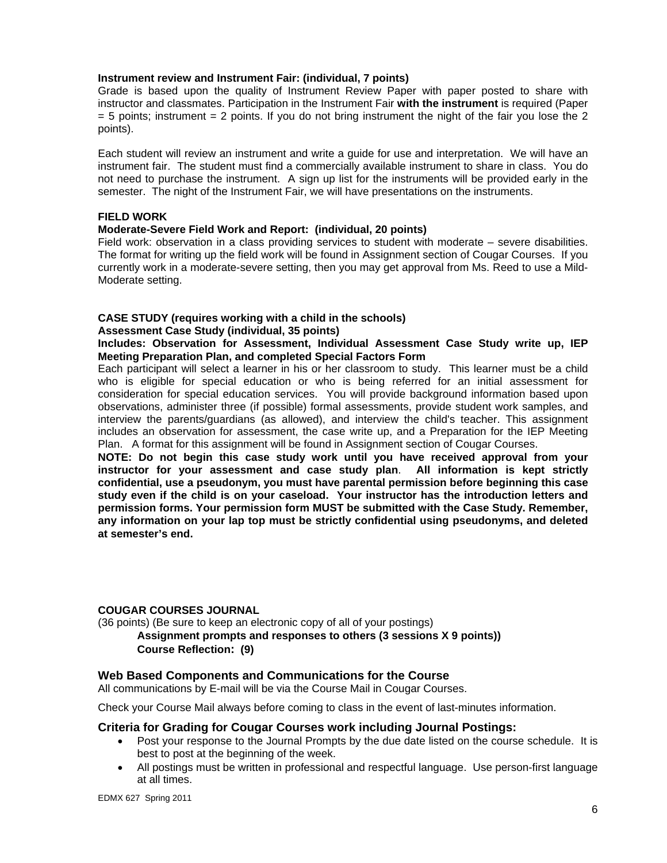## **Instrument review and Instrument Fair: (individual, 7 points)**

Grade is based upon the quality of Instrument Review Paper with paper posted to share with instructor and classmates. Participation in the Instrument Fair **with the instrument** is required (Paper  $=$  5 points; instrument  $=$  2 points. If you do not bring instrument the night of the fair you lose the 2 points).

Each student will review an instrument and write a guide for use and interpretation. We will have an instrument fair. The student must find a commercially available instrument to share in class. You do not need to purchase the instrument. A sign up list for the instruments will be provided early in the semester. The night of the Instrument Fair, we will have presentations on the instruments.

## **FIELD WORK**

## **Moderate-Severe Field Work and Report: (individual, 20 points)**

Field work: observation in a class providing services to student with moderate – severe disabilities. The format for writing up the field work will be found in Assignment section of Cougar Courses. If you currently work in a moderate-severe setting, then you may get approval from Ms. Reed to use a Mild-Moderate setting.

## **CASE STUDY (requires working with a child in the schools)**

## **Assessment Case Study (individual, 35 points)**

**Includes: Observation for Assessment, Individual Assessment Case Study write up, IEP Meeting Preparation Plan, and completed Special Factors Form** 

Each participant will select a learner in his or her classroom to study. This learner must be a child who is eligible for special education or who is being referred for an initial assessment for consideration for special education services. You will provide background information based upon observations, administer three (if possible) formal assessments, provide student work samples, and interview the parents/guardians (as allowed), and interview the child's teacher. This assignment includes an observation for assessment, the case write up, and a Preparation for the IEP Meeting Plan. A format for this assignment will be found in Assignment section of Cougar Courses.

**NOTE: Do not begin this case study work until you have received approval from your instructor for your assessment and case study plan**. **All information is kept strictly confidential, use a pseudonym, you must have parental permission before beginning this case study even if the child is on your caseload. Your instructor has the introduction letters and permission forms. Your permission form MUST be submitted with the Case Study. Remember, any information on your lap top must be strictly confidential using pseudonyms, and deleted at semester's end.** 

## **COUGAR COURSES JOURNAL**

(36 points) (Be sure to keep an electronic copy of all of your postings) **Assignment prompts and responses to others (3 sessions X 9 points)) Course Reflection: (9)** 

## **Web Based Components and Communications for the Course**

All communications by E-mail will be via the Course Mail in Cougar Courses.

Check your Course Mail always before coming to class in the event of last-minutes information.

## **Criteria for Grading for Cougar Courses work including Journal Postings:**

- Post your response to the Journal Prompts by the due date listed on the course schedule. It is best to post at the beginning of the week.
- at all times. All postings must be written in professional and respectful language. Use person-first language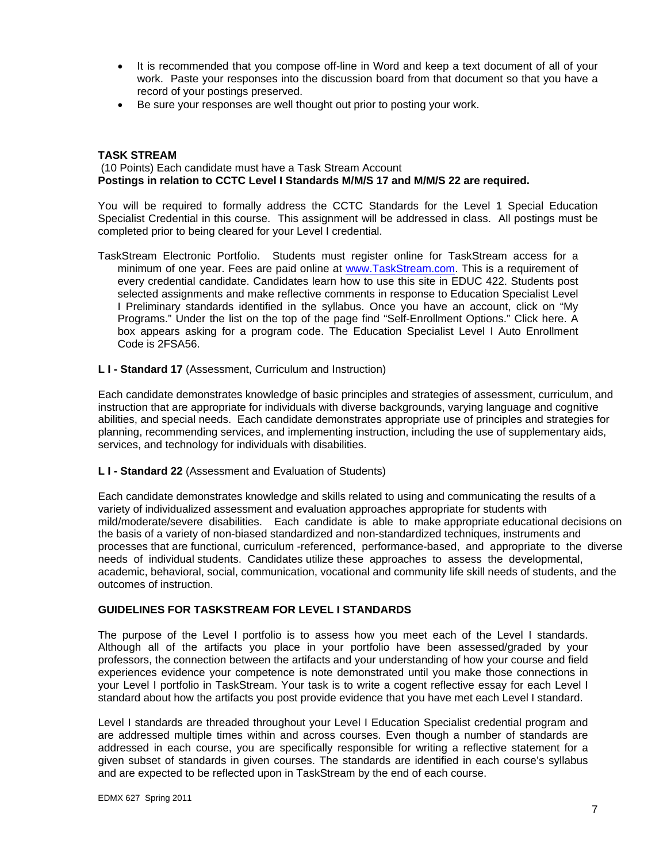- It is recommended that you compose off-line in Word and keep a text document of all of your work. Paste your responses into the discussion board from that document so that you have a record of your postings preserved.
- Be sure your responses are well thought out prior to posting your work.

## **TASK STREAM**

(10 Points) Each candidate must have a Task Stream Account **Postings in relation to CCTC Level I Standards M/M/S 17 and M/M/S 22 are required.** 

You will be required to formally address the CCTC Standards for the Level 1 Special Education Specialist Credential in this course. This assignment will be addressed in class. All postings must be completed prior to being cleared for your Level I credential.

- TaskStream Electronic Portfolio. Students must register online for TaskStream access for a minimum of one year. Fees are paid online at www.TaskStream.com. This is a requirement of every credential candidate. Candidates learn how to use this site in EDUC 422. Students post selected assignments and make reflective comments in response to Education Specialist Level I Preliminary standards identified in the syllabus. Once you have an account, click on "My Programs." Under the list on the top of the page find "Self-Enrollment Options." Click here. A box appears asking for a program code. The Education Specialist Level I Auto Enrollment Code is 2FSA56.
- **L I Standard 17** (Assessment, Curriculum and Instruction)

Each candidate demonstrates knowledge of basic principles and strategies of assessment, curriculum, and instruction that are appropriate for individuals with diverse backgrounds, varying language and cognitive abilities, and special needs. Each candidate demonstrates appropriate use of principles and strategies for planning, recommending services, and implementing instruction, including the use of supplementary aids, services, and technology for individuals with disabilities.

**L I - Standard 22** (Assessment and Evaluation of Students)

 mild/moderate/severe disabilities. Each candidate is able to make appropriate educational decisions on outcomes of instruction. Each candidate demonstrates knowledge and skills related to using and communicating the results of a variety of individualized assessment and evaluation approaches appropriate for students with the basis of a variety of non-biased standardized and non-standardized techniques, instruments and processes that are functional, curriculum -referenced, performance-based, and appropriate to the diverse needs of individual students. Candidates utilize these approaches to assess the developmental, academic, behavioral, social, communication, vocational and community life skill needs of students, and the

#### **GUIDELINES FOR TASKSTREAM FOR LEVEL I STANDARDS**

The purpose of the Level I portfolio is to assess how you meet each of the Level I standards. Although all of the artifacts you place in your portfolio have been assessed/graded by your professors, the connection between the artifacts and your understanding of how your course and field experiences evidence your competence is note demonstrated until you make those connections in your Level I portfolio in TaskStream. Your task is to write a cogent reflective essay for each Level I standard about how the artifacts you post provide evidence that you have met each Level I standard.

Level I standards are threaded throughout your Level I Education Specialist credential program and are addressed multiple times within and across courses. Even though a number of standards are addressed in each course, you are specifically responsible for writing a reflective statement for a given subset of standards in given courses. The standards are identified in each course's syllabus and are expected to be reflected upon in TaskStream by the end of each course.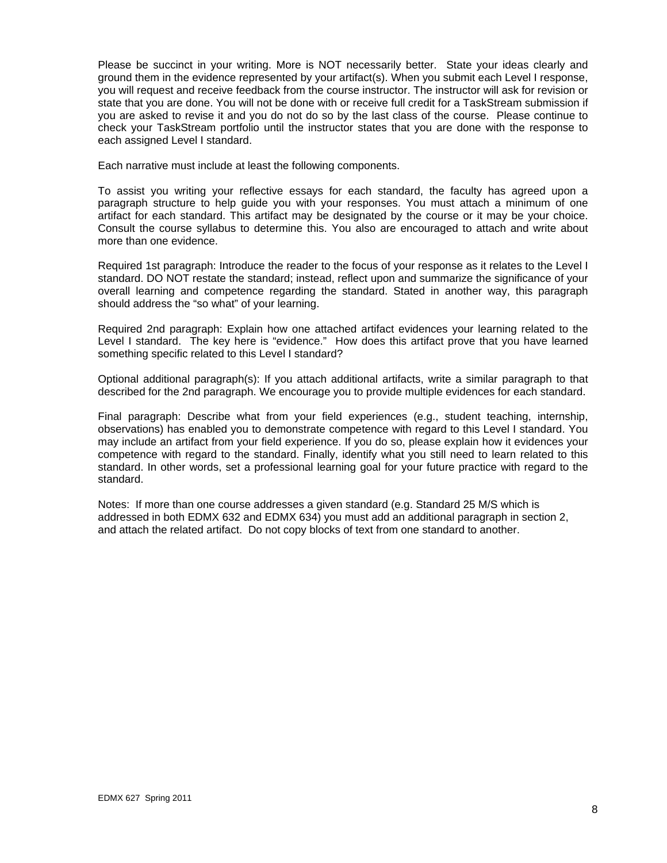Please be succinct in your writing. More is NOT necessarily better. State your ideas clearly and ground them in the evidence represented by your artifact(s). When you submit each Level I response, you will request and receive feedback from the course instructor. The instructor will ask for revision or state that you are done. You will not be done with or receive full credit for a TaskStream submission if you are asked to revise it and you do not do so by the last class of the course. Please continue to check your TaskStream portfolio until the instructor states that you are done with the response to each assigned Level I standard.

Each narrative must include at least the following components.

To assist you writing your reflective essays for each standard, the faculty has agreed upon a paragraph structure to help guide you with your responses. You must attach a minimum of one artifact for each standard. This artifact may be designated by the course or it may be your choice. Consult the course syllabus to determine this. You also are encouraged to attach and write about more than one evidence.

Required 1st paragraph: Introduce the reader to the focus of your response as it relates to the Level I standard. DO NOT restate the standard; instead, reflect upon and summarize the significance of your overall learning and competence regarding the standard. Stated in another way, this paragraph should address the "so what" of your learning.

Required 2nd paragraph: Explain how one attached artifact evidences your learning related to the Level I standard. The key here is "evidence." How does this artifact prove that you have learned something specific related to this Level I standard?

Optional additional paragraph(s): If you attach additional artifacts, write a similar paragraph to that described for the 2nd paragraph. We encourage you to provide multiple evidences for each standard.

Final paragraph: Describe what from your field experiences (e.g., student teaching, internship, observations) has enabled you to demonstrate competence with regard to this Level I standard. You may include an artifact from your field experience. If you do so, please explain how it evidences your competence with regard to the standard. Finally, identify what you still need to learn related to this standard. In other words, set a professional learning goal for your future practice with regard to the standard.

Notes: If more than one course addresses a given standard (e.g. Standard 25 M/S which is addressed in both EDMX 632 and EDMX 634) you must add an additional paragraph in section 2, and attach the related artifact. Do not copy blocks of text from one standard to another.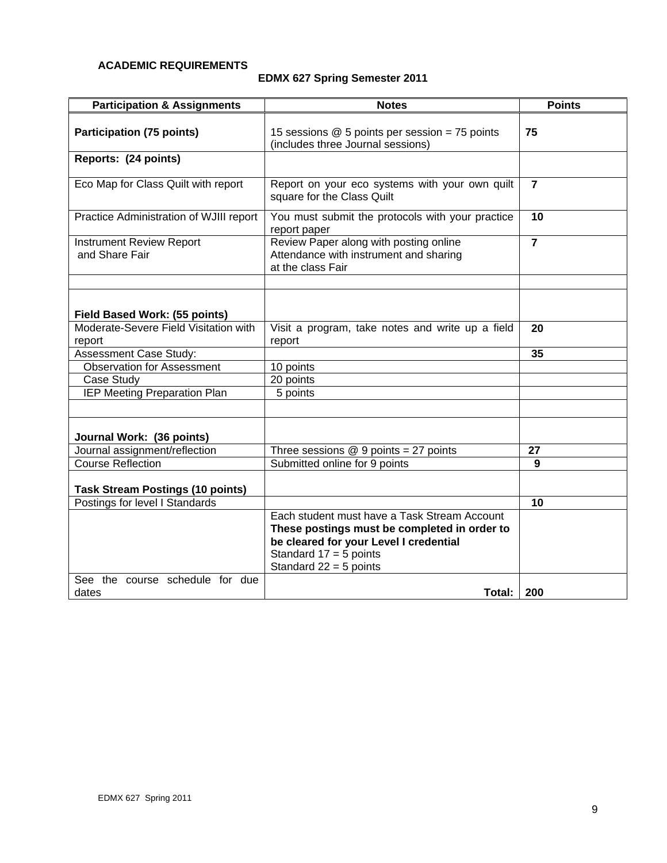## **ACADEMIC REQUIREMENTS**

# **EDMX 627 Spring Semester 2011**

| <b>Participation &amp; Assignments</b>            | <b>Notes</b>                                                                                          | <b>Points</b> |
|---------------------------------------------------|-------------------------------------------------------------------------------------------------------|---------------|
| <b>Participation (75 points)</b>                  | 15 sessions $@$ 5 points per session = 75 points<br>(includes three Journal sessions)                 | 75            |
| Reports: (24 points)                              |                                                                                                       |               |
| Eco Map for Class Quilt with report               | Report on your eco systems with your own quilt<br>square for the Class Quilt                          |               |
| Practice Administration of WJIII report           | You must submit the protocols with your practice<br>report paper                                      | 10            |
| <b>Instrument Review Report</b><br>and Share Fair | Review Paper along with posting online<br>Attendance with instrument and sharing<br>at the class Fair |               |
|                                                   |                                                                                                       |               |
| Field Based Work: (55 points)                     |                                                                                                       |               |
| Moderate-Severe Field Visitation with<br>report   | Visit a program, take notes and write up a field<br>report                                            | 20            |
| Assessment Case Study:                            |                                                                                                       | 35            |
| <b>Observation for Assessment</b>                 | 10 points                                                                                             |               |
| Case Study                                        | 20 points                                                                                             |               |
| <b>IEP Meeting Preparation Plan</b>               | 5 points                                                                                              |               |
|                                                   |                                                                                                       |               |
| Journal Work: (36 points)                         |                                                                                                       |               |
| Journal assignment/reflection                     | Three sessions $@9$ points = 27 points                                                                | 27            |
| <b>Course Reflection</b>                          | Submitted online for 9 points                                                                         | 9             |
| <b>Task Stream Postings (10 points)</b>           |                                                                                                       |               |
| Postings for level I Standards                    |                                                                                                       | 10            |
|                                                   | Each student must have a Task Stream Account                                                          |               |
|                                                   | These postings must be completed in order to                                                          |               |
|                                                   | be cleared for your Level I credential                                                                |               |
|                                                   | Standard $17 = 5$ points                                                                              |               |
|                                                   | Standard $22 = 5$ points                                                                              |               |
| See the course schedule for due<br>dates          | Total:                                                                                                | 200           |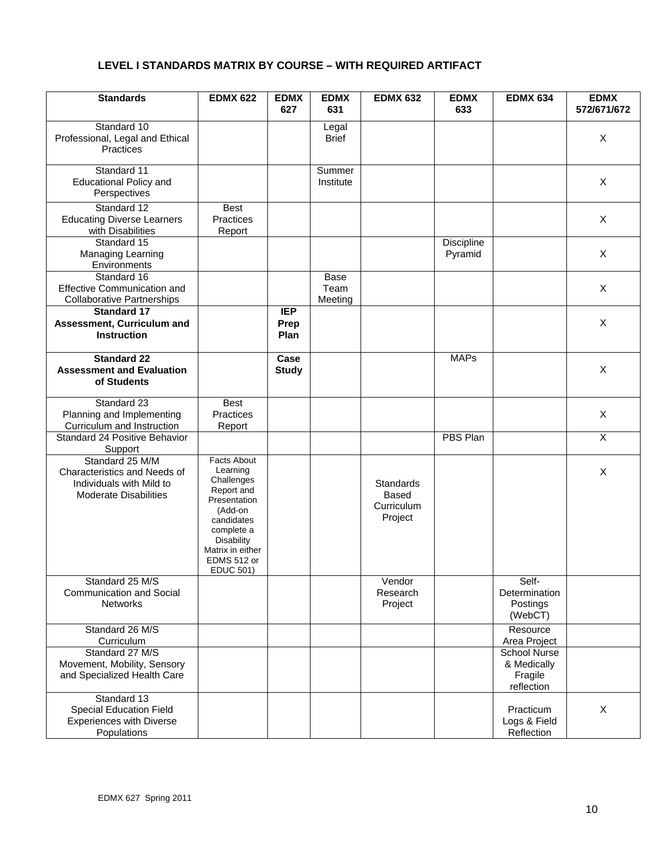## **LEVEL I STANDARDS MATRIX BY COURSE – WITH REQUIRED ARTIFACT**

| <b>Standards</b>                                                                                            | <b>EDMX 622</b>                                                                                                                                                                 | <b>EDMX</b><br>627         | <b>EDMX</b><br>631             | <b>EDMX 632</b>                                    | <b>EDMX</b><br>633    | <b>EDMX 634</b>                                             | <b>EDMX</b><br>572/671/672 |
|-------------------------------------------------------------------------------------------------------------|---------------------------------------------------------------------------------------------------------------------------------------------------------------------------------|----------------------------|--------------------------------|----------------------------------------------------|-----------------------|-------------------------------------------------------------|----------------------------|
| Standard 10<br>Professional, Legal and Ethical<br>Practices                                                 |                                                                                                                                                                                 |                            | Legal<br><b>Brief</b>          |                                                    |                       |                                                             | X                          |
| Standard 11<br><b>Educational Policy and</b><br>Perspectives                                                |                                                                                                                                                                                 |                            | Summer<br>Institute            |                                                    |                       |                                                             | X                          |
| Standard 12<br><b>Educating Diverse Learners</b><br>with Disabilities                                       | <b>Best</b><br>Practices<br>Report                                                                                                                                              |                            |                                |                                                    |                       |                                                             | X                          |
| Standard 15<br>Managing Learning<br>Environments                                                            |                                                                                                                                                                                 |                            |                                |                                                    | Discipline<br>Pyramid |                                                             | X                          |
| Standard 16<br><b>Effective Communication and</b><br><b>Collaborative Partnerships</b>                      |                                                                                                                                                                                 |                            | <b>Base</b><br>Team<br>Meeting |                                                    |                       |                                                             | X                          |
| <b>Standard 17</b><br>Assessment, Curriculum and<br><b>Instruction</b>                                      |                                                                                                                                                                                 | <b>IEP</b><br>Prep<br>Plan |                                |                                                    |                       |                                                             | X                          |
| <b>Standard 22</b><br><b>Assessment and Evaluation</b><br>of Students                                       |                                                                                                                                                                                 | Case<br><b>Study</b>       |                                |                                                    | <b>MAPs</b>           |                                                             | X                          |
| Standard 23<br>Planning and Implementing<br>Curriculum and Instruction                                      | <b>Best</b><br><b>Practices</b><br>Report                                                                                                                                       |                            |                                |                                                    |                       |                                                             | $\pmb{\times}$             |
| Standard 24 Positive Behavior<br>Support                                                                    |                                                                                                                                                                                 |                            |                                |                                                    | <b>PBS Plan</b>       |                                                             | X                          |
| Standard 25 M/M<br>Characteristics and Needs of<br>Individuals with Mild to<br><b>Moderate Disabilities</b> | Facts About<br>Learning<br>Challenges<br>Report and<br>Presentation<br>(Add-on<br>candidates<br>complete a<br>Disability<br>Matrix in either<br>EDMS 512 or<br><b>EDUC 501)</b> |                            |                                | Standards<br><b>Based</b><br>Curriculum<br>Project |                       |                                                             | X                          |
| Standard 25 M/S<br>Communication and Social<br><b>Networks</b>                                              |                                                                                                                                                                                 |                            |                                | Vendor<br>Research<br>Project                      |                       | Self-<br>Determination<br>Postings<br>(WebCT)               |                            |
| Standard 26 M/S<br>Curriculum                                                                               |                                                                                                                                                                                 |                            |                                |                                                    |                       | Resource<br>Area Project                                    |                            |
| Standard 27 M/S<br>Movement, Mobility, Sensory<br>and Specialized Health Care                               |                                                                                                                                                                                 |                            |                                |                                                    |                       | <b>School Nurse</b><br>& Medically<br>Fragile<br>reflection |                            |
| Standard 13<br>Special Education Field<br><b>Experiences with Diverse</b><br>Populations                    |                                                                                                                                                                                 |                            |                                |                                                    |                       | Practicum<br>Logs & Field<br>Reflection                     | X                          |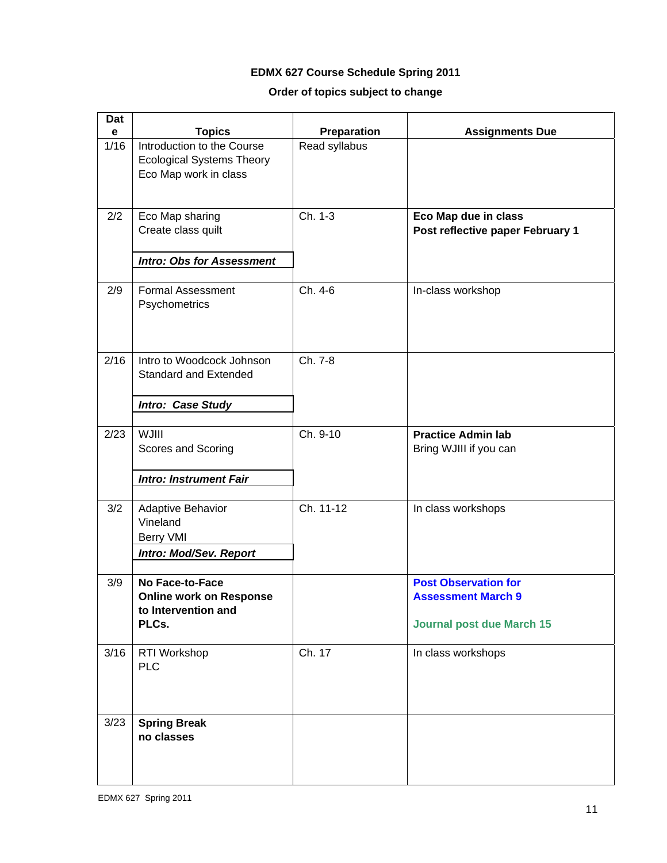# **EDMX 627 Course Schedule Spring 2011**

# **Order of topics subject to change**

| Dat<br>e | <b>Topics</b>                                                                           | Preparation   | <b>Assignments Due</b>                                                                       |
|----------|-----------------------------------------------------------------------------------------|---------------|----------------------------------------------------------------------------------------------|
| 1/16     | Introduction to the Course<br><b>Ecological Systems Theory</b><br>Eco Map work in class | Read syllabus |                                                                                              |
| 2/2      | Eco Map sharing<br>Create class quilt                                                   | Ch. 1-3       | Eco Map due in class<br>Post reflective paper February 1                                     |
|          | <b>Intro: Obs for Assessment</b>                                                        |               |                                                                                              |
| 2/9      | <b>Formal Assessment</b><br>Psychometrics                                               | Ch. 4-6       | In-class workshop                                                                            |
| 2/16     | Intro to Woodcock Johnson<br><b>Standard and Extended</b>                               | Ch. 7-8       |                                                                                              |
|          | Intro: Case Study                                                                       |               |                                                                                              |
| 2/23     | <b>WJIII</b><br>Scores and Scoring                                                      | Ch. 9-10      | <b>Practice Admin lab</b><br>Bring WJIII if you can                                          |
|          | <b>Intro: Instrument Fair</b>                                                           |               |                                                                                              |
| 3/2      | Adaptive Behavior<br>Vineland<br><b>Berry VMI</b>                                       | Ch. 11-12     | In class workshops                                                                           |
|          | Intro: Mod/Sev. Report                                                                  |               |                                                                                              |
| 3/9      | No Face-to-Face<br><b>Online work on Response</b><br>to Intervention and<br>PLCs.       |               | <b>Post Observation for</b><br><b>Assessment March 9</b><br><b>Journal post due March 15</b> |
| 3/16     | RTI Workshop<br><b>PLC</b>                                                              | Ch. 17        | In class workshops                                                                           |
| 3/23     | <b>Spring Break</b><br>no classes                                                       |               |                                                                                              |